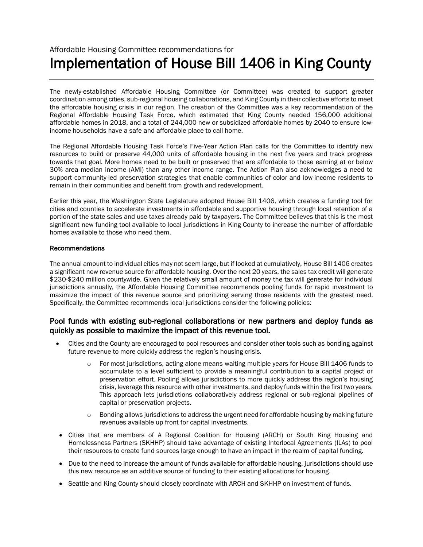# Affordable Housing Committee recommendations for Implementation of House Bill 1406 in King County

The newly-established Affordable Housing Committee (or Committee) was created to support greater coordination among cities, sub-regional housing collaborations, and King County in their collective efforts to meet the affordable housing crisis in our region. The creation of the Committee was a key recommendation of the Regional Affordable Housing Task Force, which estimated that King County needed 156,000 additional affordable homes in 2018, and a total of 244,000 new or subsidized affordable homes by 2040 to ensure lowincome households have a safe and affordable place to call home.

The Regional Affordable Housing Task Force's Five-Year Action Plan calls for the Committee to identify new resources to build or preserve 44,000 units of affordable housing in the next five years and track progress towards that goal. More homes need to be built or preserved that are affordable to those earning at or below 30% area median income (AMI) than any other income range. The Action Plan also acknowledges a need to support community-led preservation strategies that enable communities of color and low-income residents to remain in their communities and benefit from growth and redevelopment.

Earlier this year, the Washington State Legislature adopted House Bill 1406, which creates a funding tool for cities and counties to accelerate investments in affordable and supportive housing through local retention of a portion of the state sales and use taxes already paid by taxpayers. The Committee believes that this is the most significant new funding tool available to local jurisdictions in King County to increase the number of affordable homes available to those who need them.

### Recommendations

The annual amount to individual cities may not seem large, but if looked at cumulatively, House Bill 1406 creates a significant new revenue source for affordable housing. Over the next 20 years, the sales tax credit will generate \$230-\$240 million countywide. Given the relatively small amount of money the tax will generate for individual jurisdictions annually, the Affordable Housing Committee recommends pooling funds for rapid investment to maximize the impact of this revenue source and prioritizing serving those residents with the greatest need. Specifically, the Committee recommends local jurisdictions consider the following policies:

# Pool funds with existing sub-regional collaborations or new partners and deploy funds as quickly as possible to maximize the impact of this revenue tool.

- Cities and the County are encouraged to pool resources and consider other tools such as bonding against future revenue to more quickly address the region's housing crisis.
	- o For most jurisdictions, acting alone means waiting multiple years for House Bill 1406 funds to accumulate to a level sufficient to provide a meaningful contribution to a capital project or preservation effort. Pooling allows jurisdictions to more quickly address the region's housing crisis, leverage this resource with other investments, and deploy funds within the first two years. This approach lets jurisdictions collaboratively address regional or sub-regional pipelines of capital or preservation projects.
	- $\circ$  Bonding allows jurisdictions to address the urgent need for affordable housing by making future revenues available up front for capital investments.
- Cities that are members of A Regional Coalition for Housing (ARCH) or South King Housing and Homelessness Partners (SKHHP) should take advantage of existing Interlocal Agreements (ILAs) to pool their resources to create fund sources large enough to have an impact in the realm of capital funding.
- Due to the need to increase the amount of funds available for affordable housing, jurisdictions should use this new resource as an additive source of funding to their existing allocations for housing.
- Seattle and King County should closely coordinate with ARCH and SKHHP on investment of funds.